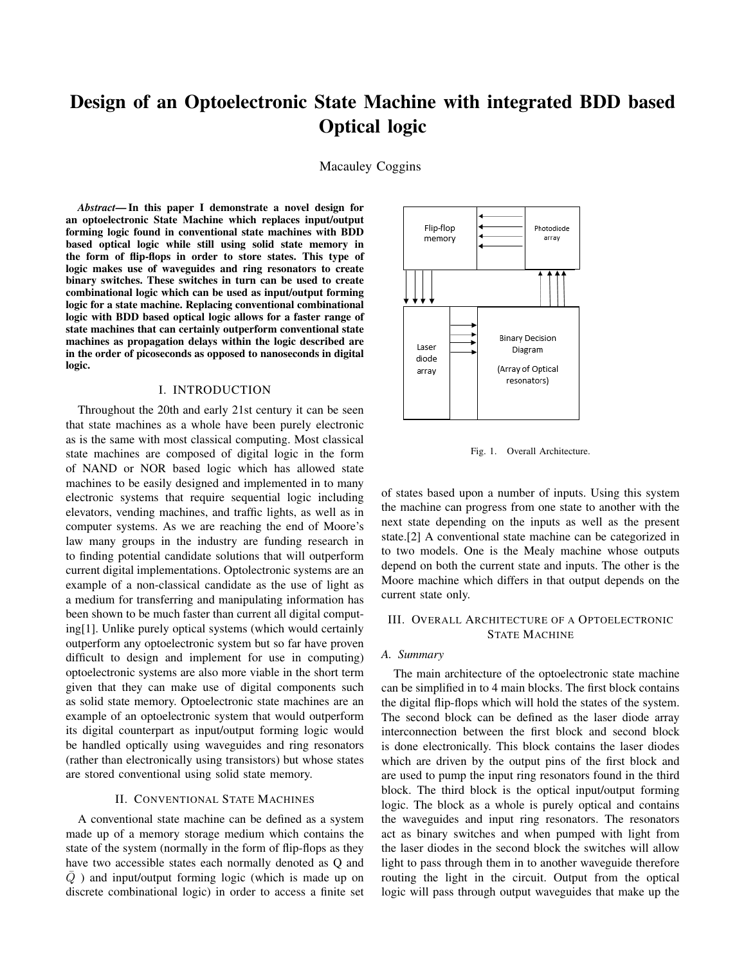# Design of an Optoelectronic State Machine with integrated BDD based Optical logic

Macauley Coggins

*Abstract*— In this paper I demonstrate a novel design for an optoelectronic State Machine which replaces input/output forming logic found in conventional state machines with BDD based optical logic while still using solid state memory in the form of flip-flops in order to store states. This type of logic makes use of waveguides and ring resonators to create binary switches. These switches in turn can be used to create combinational logic which can be used as input/output forming logic for a state machine. Replacing conventional combinational logic with BDD based optical logic allows for a faster range of state machines that can certainly outperform conventional state machines as propagation delays within the logic described are in the order of picoseconds as opposed to nanoseconds in digital logic.

# I. INTRODUCTION

Throughout the 20th and early 21st century it can be seen that state machines as a whole have been purely electronic as is the same with most classical computing. Most classical state machines are composed of digital logic in the form of NAND or NOR based logic which has allowed state machines to be easily designed and implemented in to many electronic systems that require sequential logic including elevators, vending machines, and traffic lights, as well as in computer systems. As we are reaching the end of Moore's law many groups in the industry are funding research in to finding potential candidate solutions that will outperform current digital implementations. Optolectronic systems are an example of a non-classical candidate as the use of light as a medium for transferring and manipulating information has been shown to be much faster than current all digital computing[1]. Unlike purely optical systems (which would certainly outperform any optoelectronic system but so far have proven difficult to design and implement for use in computing) optoelectronic systems are also more viable in the short term given that they can make use of digital components such as solid state memory. Optoelectronic state machines are an example of an optoelectronic system that would outperform its digital counterpart as input/output forming logic would be handled optically using waveguides and ring resonators (rather than electronically using transistors) but whose states are stored conventional using solid state memory.

#### II. CONVENTIONAL STATE MACHINES

A conventional state machine can be defined as a system made up of a memory storage medium which contains the state of the system (normally in the form of flip-flops as they have two accessible states each normally denoted as Q and  $\overline{Q}$ ) and input/output forming logic (which is made up on discrete combinational logic) in order to access a finite set



Fig. 1. Overall Architecture.

of states based upon a number of inputs. Using this system the machine can progress from one state to another with the next state depending on the inputs as well as the present state.[2] A conventional state machine can be categorized in to two models. One is the Mealy machine whose outputs depend on both the current state and inputs. The other is the Moore machine which differs in that output depends on the current state only.

## III. OVERALL ARCHITECTURE OF A OPTOELECTRONIC STATE MACHINE

#### *A. Summary*

The main architecture of the optoelectronic state machine can be simplified in to 4 main blocks. The first block contains the digital flip-flops which will hold the states of the system. The second block can be defined as the laser diode array interconnection between the first block and second block is done electronically. This block contains the laser diodes which are driven by the output pins of the first block and are used to pump the input ring resonators found in the third block. The third block is the optical input/output forming logic. The block as a whole is purely optical and contains the waveguides and input ring resonators. The resonators act as binary switches and when pumped with light from the laser diodes in the second block the switches will allow light to pass through them in to another waveguide therefore routing the light in the circuit. Output from the optical logic will pass through output waveguides that make up the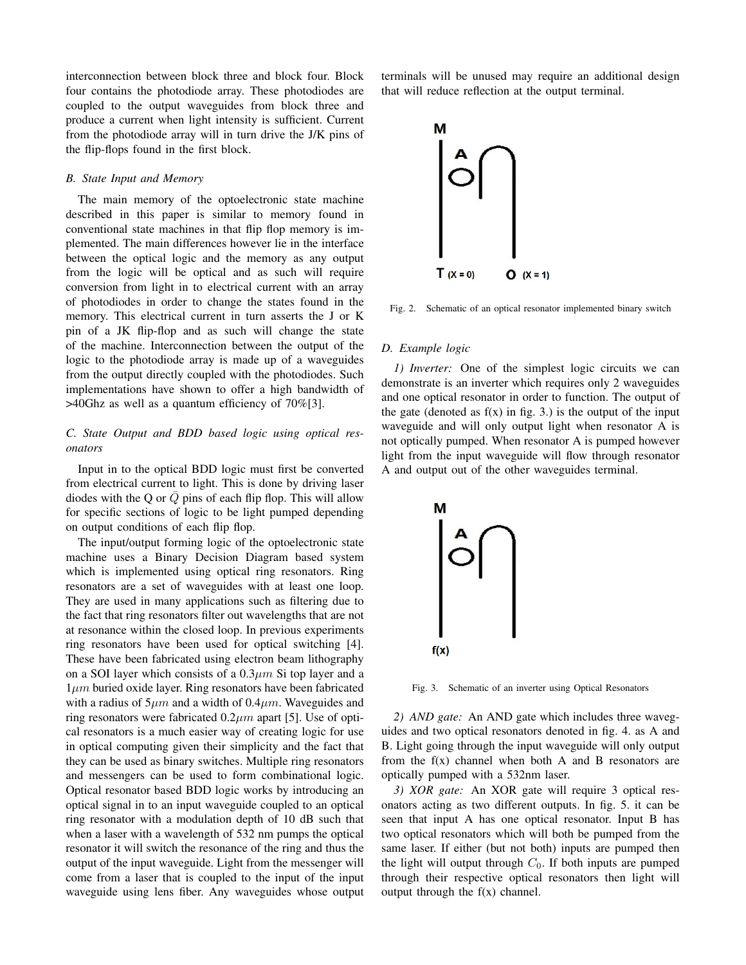interconnection between block three and block four. Block four contains the photodiode array. These photodiodes are coupled to the output waveguides from block three and produce a current when light intensity is sufficient. Current from the photodiode array will in turn drive the J/K pins of the flip-flops found in the first block.

## *B. State Input and Memory*

The main memory of the optoelectronic state machine described in this paper is similar to memory found in conventional state machines in that flip flop memory is implemented. The main differences however lie in the interface between the optical logic and the memory as any output from the logic will be optical and as such will require conversion from light in to electrical current with an array of photodiodes in order to change the states found in the memory. This electrical current in turn asserts the J or K pin of a JK flip-flop and as such will change the state of the machine. Interconnection between the output of the logic to the photodiode array is made up of a waveguides from the output directly coupled with the photodiodes. Such implementations have shown to offer a high bandwidth of >40Ghz as well as a quantum efficiency of 70%[3].

# *C. State Output and BDD based logic using optical resonators*

Input in to the optical BDD logic must first be converted from electrical current to light. This is done by driving laser diodes with the Q or  $\overline{Q}$  pins of each flip flop. This will allow for specific sections of logic to be light pumped depending on output conditions of each flip flop.

The input/output forming logic of the optoelectronic state machine uses a Binary Decision Diagram based system which is implemented using optical ring resonators. Ring resonators are a set of waveguides with at least one loop. They are used in many applications such as filtering due to the fact that ring resonators filter out wavelengths that are not at resonance within the closed loop. In previous experiments ring resonators have been used for optical switching [4]. These have been fabricated using electron beam lithography on a SOI layer which consists of a  $0.3 \mu m$  Si top layer and a  $1\mu m$  buried oxide layer. Ring resonators have been fabricated with a radius of  $5\mu m$  and a width of  $0.4\mu m$ . Waveguides and ring resonators were fabricated  $0.2 \mu m$  apart [5]. Use of optical resonators is a much easier way of creating logic for use in optical computing given their simplicity and the fact that they can be used as binary switches. Multiple ring resonators and messengers can be used to form combinational logic. Optical resonator based BDD logic works by introducing an optical signal in to an input waveguide coupled to an optical ring resonator with a modulation depth of 10 dB such that when a laser with a wavelength of 532 nm pumps the optical resonator it will switch the resonance of the ring and thus the output of the input waveguide. Light from the messenger will come from a laser that is coupled to the input of the input waveguide using lens fiber. Any waveguides whose output

terminals will be unused may require an additional design that will reduce reflection at the output terminal.



Fig. 2. Schematic of an optical resonator implemented binary switch

#### *D. Example logic*

*1) Inverter:* One of the simplest logic circuits we can demonstrate is an inverter which requires only 2 waveguides and one optical resonator in order to function. The output of the gate (denoted as  $f(x)$  in fig. 3.) is the output of the input waveguide and will only output light when resonator A is not optically pumped. When resonator A is pumped however light from the input waveguide will flow through resonator A and output out of the other waveguides terminal.



Fig. 3. Schematic of an inverter using Optical Resonators

*2) AND gate:* An AND gate which includes three waveguides and two optical resonators denoted in fig. 4. as A and B. Light going through the input waveguide will only output from the  $f(x)$  channel when both A and B resonators are optically pumped with a 532nm laser.

*3) XOR gate:* An XOR gate will require 3 optical resonators acting as two different outputs. In fig. 5. it can be seen that input A has one optical resonator. Input B has two optical resonators which will both be pumped from the same laser. If either (but not both) inputs are pumped then the light will output through  $C_0$ . If both inputs are pumped through their respective optical resonators then light will output through the  $f(x)$  channel.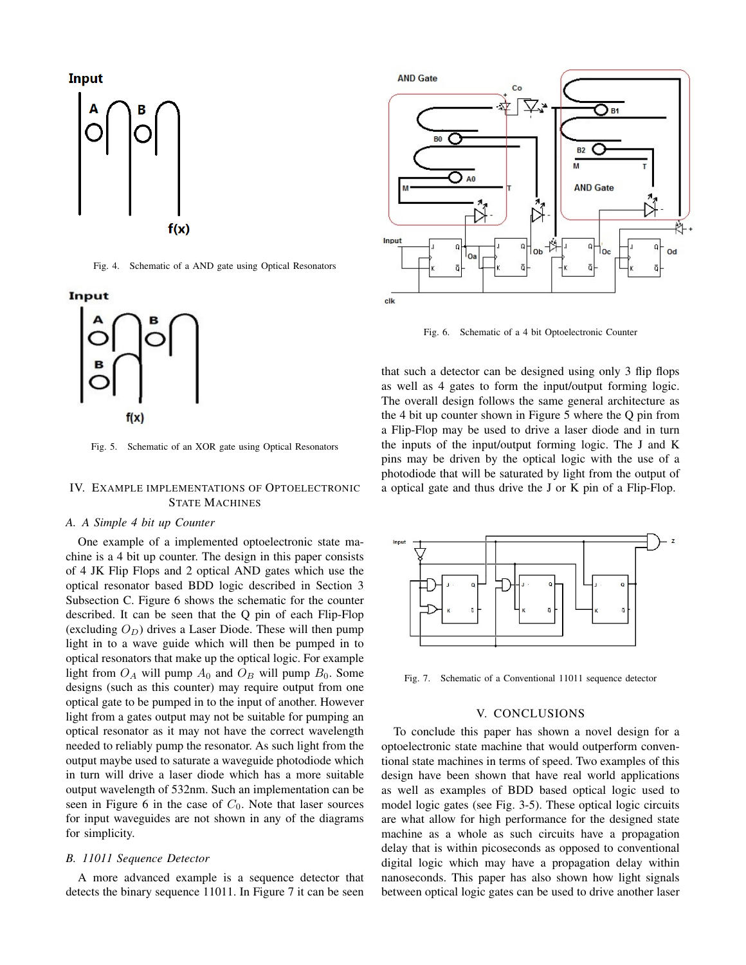Input



Fig. 4. Schematic of a AND gate using Optical Resonators

# Input



Fig. 5. Schematic of an XOR gate using Optical Resonators

# IV. EXAMPLE IMPLEMENTATIONS OF OPTOELECTRONIC STATE MACHINES

# *A. A Simple 4 bit up Counter*

One example of a implemented optoelectronic state machine is a 4 bit up counter. The design in this paper consists of 4 JK Flip Flops and 2 optical AND gates which use the optical resonator based BDD logic described in Section 3 Subsection C. Figure 6 shows the schematic for the counter described. It can be seen that the Q pin of each Flip-Flop (excluding  $O_D$ ) drives a Laser Diode. These will then pump light in to a wave guide which will then be pumped in to optical resonators that make up the optical logic. For example light from  $O_A$  will pump  $A_0$  and  $O_B$  will pump  $B_0$ . Some designs (such as this counter) may require output from one optical gate to be pumped in to the input of another. However light from a gates output may not be suitable for pumping an optical resonator as it may not have the correct wavelength needed to reliably pump the resonator. As such light from the output maybe used to saturate a waveguide photodiode which in turn will drive a laser diode which has a more suitable output wavelength of 532nm. Such an implementation can be seen in Figure 6 in the case of  $C_0$ . Note that laser sources for input waveguides are not shown in any of the diagrams for simplicity.

## *B. 11011 Sequence Detector*

A more advanced example is a sequence detector that detects the binary sequence 11011. In Figure 7 it can be seen



Fig. 6. Schematic of a 4 bit Optoelectronic Counter

that such a detector can be designed using only 3 flip flops as well as 4 gates to form the input/output forming logic. The overall design follows the same general architecture as the 4 bit up counter shown in Figure 5 where the Q pin from a Flip-Flop may be used to drive a laser diode and in turn the inputs of the input/output forming logic. The J and K pins may be driven by the optical logic with the use of a photodiode that will be saturated by light from the output of a optical gate and thus drive the J or K pin of a Flip-Flop.



Fig. 7. Schematic of a Conventional 11011 sequence detector

#### V. CONCLUSIONS

To conclude this paper has shown a novel design for a optoelectronic state machine that would outperform conventional state machines in terms of speed. Two examples of this design have been shown that have real world applications as well as examples of BDD based optical logic used to model logic gates (see Fig. 3-5). These optical logic circuits are what allow for high performance for the designed state machine as a whole as such circuits have a propagation delay that is within picoseconds as opposed to conventional digital logic which may have a propagation delay within nanoseconds. This paper has also shown how light signals between optical logic gates can be used to drive another laser